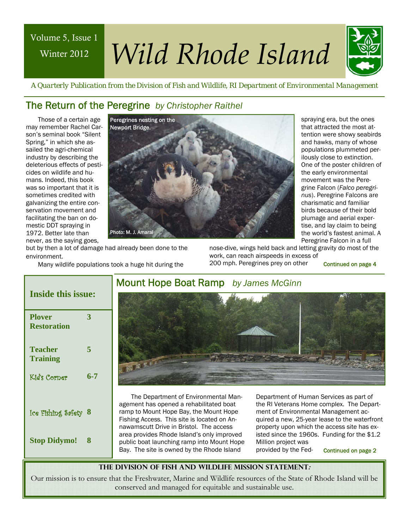## Winter 2012 Winter 2012 Volume 5, Issue 1

# *Wild Rhode Island Wild Rhode Island*



 *A Quarterly Publication from the Division of Fish and Wildlife, RI Department of Environmental Management* 

## The Return of the Peregrine *by Christopher Raithel*

Those of a certain age may remember Rachel Carson's seminal book "Silent Spring," in which she assailed the agri-chemical industry by describing the deleterious effects of pesticides on wildlife and humans. Indeed, this book was so important that it is sometimes credited with galvanizing the entire conservation movement and facilitating the ban on domestic DDT spraying in 1972. Better late than never, as the saying goes,



spraying era, but the ones that attracted the most attention were showy seabirds and hawks, many of whose populations plummeted perilously close to extinction. One of the poster children of the early environmental movement was the Peregrine Falcon (*Falco peregrinus*). Peregrine Falcons are charismatic and familiar birds because of their bold plumage and aerial expertise, and lay claim to being the world's fastest animal. A Peregrine Falcon in a full

but by then a lot of damage had already been done to the environment.

Many wildlife populations took a huge hit during the

nose-dive, wings held back and letting gravity do most of the work, can reach airspeeds in excess of 200 mph. Peregrines prey on other

Continued on page 4

## **Inside this issue:**

| <b>Plover</b><br><b>Restoration</b> | 3   |
|-------------------------------------|-----|
| Teacher<br><b>Training</b>          | 5   |
| Kid's Corner                        | 6-7 |
| Ice Fishing Safety                  | 8   |
| <b>Stop Didymo!</b>                 | 8   |

## Mount Hope Boat Ramp *by James McGinn*



The Department of Environmental Management has opened a rehabilitated boat ramp to Mount Hope Bay, the Mount Hope Fishing Access. This site is located on Annawamscutt Drive in Bristol. The access area provides Rhode Island's only improved public boat launching ramp into Mount Hope Bay. The site is owned by the Rhode Island

Department of Human Services as part of the RI Veterans Home complex. The Department of Environmental Management acquired a new, 25-year lease to the waterfront property upon which the access site has existed since the 1960s. Funding for the \$1.2 Million project was provided by the Fed-

Continued on page 2

## **The Division of Fish and Wildlife Mission Statement:**

Our mission is to ensure that the Freshwater, Marine and Wildlife resources of the State of Rhode Island will be conserved and managed for equitable and sustainable use.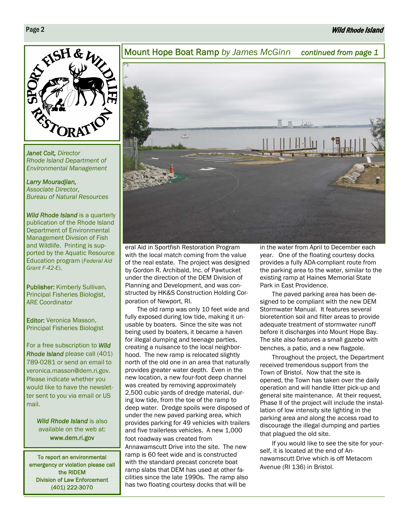## Wild Rhode Island



*Janet Coit, Director Rhode Island Department of Environmental Management* 

*Larry Mouradjian, Associate Director, Bureau of Natural Resources* 

*Wild Rhode Island* is a quarterly publication of the Rhode Island Department of Environmental Management Division of Fish and Wildlife. Printing is supported by the Aquatic Resource Education program (*Federal Aid Grant F-42-E*).

Publisher: Kimberly Sullivan, Principal Fisheries Biologist, ARE Coordinator

Editor: Veronica Masson, Principal Fisheries Biologist

For a free subscription to *Wild Rhode Island* please call (401) 789-0281 or send an email to veronica.masson@dem.ri.gov. Please indicate whether you would like to have the newsletter sent to you via email or US mail.

> *Wild Rhode Island* is also available on the web at: www.dem.ri.gov

To report an environmental emergency or violation please call the RIDEM Division of Law Enforcement (401) 222-3070



eral Aid in Sportfish Restoration Program with the local match coming from the value of the real estate. The project was designed by Gordon R. Archibald, Inc. of Pawtucket under the direction of the DEM Division of Planning and Development, and was constructed by HK&S Construction Holding Corporation of Newport, RI.

The old ramp was only 10 feet wide and fully exposed during low tide, making it unusable by boaters. Since the site was not being used by boaters, it became a haven for illegal dumping and teenage parties, creating a nuisance to the local neighborhood. The new ramp is relocated slightly north of the old one in an area that naturally provides greater water depth. Even in the new location, a new four-foot deep channel was created by removing approximately 2,500 cubic yards of dredge material, during low tide, from the toe of the ramp to deep water. Dredge spoils were disposed of under the new paved parking area, which provides parking for 49 vehicles with trailers and five trailerless vehicles. A new 1,000 foot roadway was created from Annawamscutt Drive into the site. The new ramp is 60 feet wide and is constructed with the standard precast concrete boat ramp slabs that DEM has used at other fa-

cilities since the late 1990s. The ramp also has two floating courtesy docks that will be

in the water from April to December each year. One of the floating courtesy docks provides a fully ADA-compliant route from the parking area to the water, similar to the existing ramp at Haines Memorial State Park in East Providence.

The paved parking area has been designed to be compliant with the new DEM Stormwater Manual. It features several bioretention soil and filter areas to provide adequate treatment of stormwater runoff before it discharges into Mount Hope Bay. The site also features a small gazebo with benches, a patio, and a new flagpole.

Throughout the project, the Department received tremendous support from the Town of Bristol. Now that the site is opened, the Town has taken over the daily operation and will handle litter pick-up and general site maintenance. At their request, Phase II of the project will include the installation of low intensity site lighting in the parking area and along the access road to discourage the illegal dumping and parties that plagued the old site.

If you would like to see the site for yourself, it is located at the end of Annawamscutt Drive which is off Metacom Avenue (RI 136) in Bristol.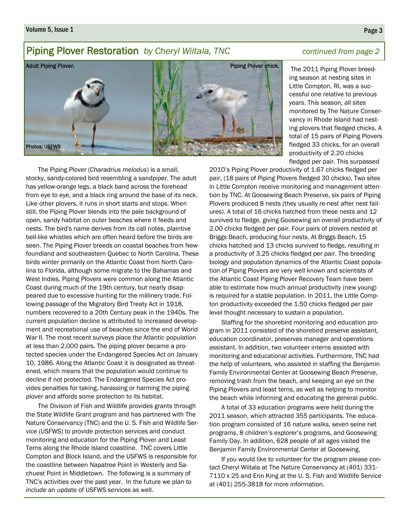#### Volume 5, Issue 1 **Page 3**

## Piping Plover Restoration *by Cheryl Wiitala, TNC* continued from page 2

## Adult Piping Plover. Photos: USFWS Piping Plover chick.

 The 2011 Piping Plover breeding season at nesting sites in Little Compton, RI, was a successful one relative to previous years. This season, all sites monitored by The Nature Conservancy in Rhode Island had nesting plovers that fledged chicks. A total of 15 pairs of Piping Plovers fledged 33 chicks, for an overall productivity of 2.20 chicks fledged per pair. This surpassed

The Piping Plover (*Charadrius melodus*) is a small, stocky, sandy-colored bird resembling a sandpiper. The adult has yellow-orange legs, a black band across the forehead from eye to eye, and a black ring around the base of its neck. Like other plovers, it runs in short starts and stops. When still, the Piping Plover blends into the pale background of open, sandy habitat on outer beaches where it feeds and nests. The bird's name derives from its call notes, plaintive bell-like whistles which are often heard before the birds are seen. The Piping Plover breeds on coastal beaches from Newfoundland and southeastern Quebec to North Carolina. These birds winter primarily on the Atlantic Coast from North Carolina to Florida, although some migrate to the Bahamas and West Indies. Piping Plovers were common along the Atlantic Coast during much of the 19th century, but nearly disappeared due to excessive hunting for the millinery trade. Following passage of the Migratory Bird Treaty Act in 1918, numbers recovered to a 20th Century peak in the 1940s. The current population decline is attributed to increased development and recreational use of beaches since the end of World War II. The most recent surveys place the Atlantic population at less than 2,000 pairs. The piping plover became a protected species under the Endangered Species Act on January 10, 1986. Along the Atlantic Coast it is designated as threatened, which means that the population would continue to decline if not protected. The Endangered Species Act provides penalties for taking, harassing or harming the piping plover and affords some protection to its habitat.

The Division of Fish and Wildlife provides grants through the State Wildlife Grant program and has partnered with The Nature Conservancy (TNC) and the U. S. Fish and Wildlife Service (USFWS) to provide protection services and conduct monitoring and education for the Piping Plover and Least Terns along the Rhode Island coastline. TNC covers Little Compton and Block Island, and the USFWS is responsible for the coastline between Napatree Point in Westerly and Sachuest Point in Middletown. The following is a summary of TNC's activities over the past year. In the future we plan to include an update of USFWS services as well.

2010's Piping Plover productivity of 1.67 chicks fledged per pair, (18 pairs of Piping Plovers fledged 30 chicks). Two sites in Little Compton receive monitoring and management attention by TNC. At Goosewing Beach Preserve, six pairs of Piping Plovers produced 8 nests (they usually re-nest after nest failures). A total of 16 chicks hatched from these nests and 12 survived to fledge, giving Goosewing an overall productivity of 2.00 chicks fledged per pair. Four pairs of plovers nested at Briggs Beach, producing four nests. At Briggs Beach, 15 chicks hatched and 13 chicks survived to fledge, resulting in a productivity of 3.25 chicks fledged per pair. The breeding biology and population dynamics of the Atlantic Coast population of Piping Plovers are very well known and scientists of the Atlantic Coast Piping Plover Recovery Team have been able to estimate how much annual productivity (new young) is required for a stable population. In 2011, the Little Compton productivity exceeded the 1.50 chicks fledged per pair level thought necessary to sustain a population.

Staffing for the shorebird monitoring and education program in 2011 consisted of the shorebird preserve assistant, education coordinator, preserves manager and operations assistant. In addition, two volunteer interns assisted with monitoring and educational activities. Furthermore, TNC had the help of volunteers, who assisted in staffing the Benjamin Family Environmental Center at Goosewing Beach Preserve, removing trash from the beach, and keeping an eye on the Piping Plovers and least terns, as well as helping to monitor the beach while informing and educating the general public.

A total of 33 education programs were held during the 2011 season, which attracted 355 participants. The education program consisted of 16 nature walks, seven seine net programs, 8 children's explorer's programs, and Goosewing Family Day. In addition, 628 people of all ages visited the Benjamin Family Environmental Center at Goosewing.

If you would like to volunteer for the program please contact Cheryl Wiitala at The Nature Conservancy at (401) 331- 7110 x 25 and Erin King at the U. S. Fish and Wildlife Service at (401) 255-3818 for more information.

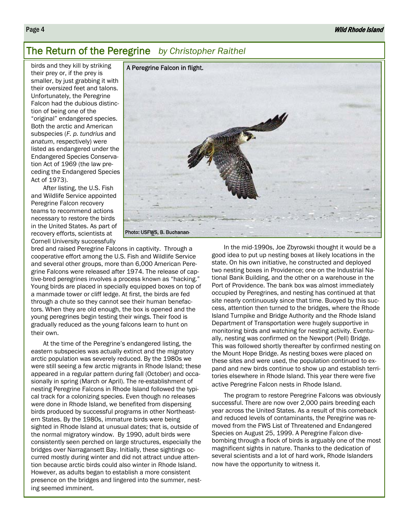## The Return of the Peregrine *by Christopher Raithel*

birds and they kill by striking their prey or, if the prey is smaller, by just grabbing it with their oversized feet and talons. Unfortunately, the Peregrine Falcon had the dubious distinction of being one of the "original" endangered species. Both the arctic and American subspecies (*F. p. tundrius* and *anatum*, respectively) were listed as endangered under the Endangered Species Conservation Act of 1969 (the law preceding the Endangered Species Act of 1973).

After listing, the U.S. Fish and Wildlife Service appointed Peregrine Falcon recovery teams to recommend actions necessary to restore the birds in the United States. As part of recovery efforts, scientists at Cornell University successfully



bred and raised Peregrine Falcons in captivity. Through a cooperative effort among the U.S. Fish and Wildlife Service and several other groups, more than 6,000 American Peregrine Falcons were released after 1974. The release of captive-bred peregrines involves a process known as "hacking." Young birds are placed in specially equipped boxes on top of a manmade tower or cliff ledge. At first, the birds are fed through a chute so they cannot see their human benefactors. When they are old enough, the box is opened and the young peregrines begin testing their wings. Their food is gradually reduced as the young falcons learn to hunt on their own.

At the time of the Peregrine's endangered listing, the eastern subspecies was actually extinct and the migratory arctic population was severely reduced. By the 1980s we were still seeing a few arctic migrants in Rhode Island; these appeared in a regular pattern during fall (October) and occasionally in spring (March or April). The re-establishment of nesting Peregrine Falcons in Rhode Island followed the typical track for a colonizing species. Even though no releases were done in Rhode Island, we benefited from dispersing birds produced by successful programs in other Northeastern States. By the 1980s, immature birds were being sighted in Rhode Island at unusual dates; that is, outside of the normal migratory window. By 1990, adult birds were consistently seen perched on large structures, especially the bridges over Narragansett Bay. Initially, these sightings occurred mostly during winter and did not attract undue attention because arctic birds could also winter in Rhode Island. However, as adults began to establish a more consistent presence on the bridges and lingered into the summer, nesting seemed imminent.

In the mid-1990s, Joe Zbyrowski thought it would be a good idea to put up nesting boxes at likely locations in the state. On his own initiative, he constructed and deployed two nesting boxes in Providence; one on the Industrial National Bank Building, and the other on a warehouse in the Port of Providence. The bank box was almost immediately occupied by Peregrines, and nesting has continued at that site nearly continuously since that time. Buoyed by this success, attention then turned to the bridges, where the Rhode Island Turnpike and Bridge Authority and the Rhode Island Department of Transportation were hugely supportive in monitoring birds and watching for nesting activity. Eventually, nesting was confirmed on the Newport (Pell) Bridge. This was followed shortly thereafter by confirmed nesting on the Mount Hope Bridge. As nesting boxes were placed on these sites and were used, the population continued to expand and new birds continue to show up and establish territories elsewhere in Rhode Island. This year there were five active Peregrine Falcon nests in Rhode Island.

The program to restore Peregrine Falcons was obviously successful. There are now over 2,000 pairs breeding each year across the United States. As a result of this comeback and reduced levels of contaminants, the Peregrine was removed from the FWS List of Threatened and Endangered Species on August 25, 1999. A Peregrine Falcon divebombing through a flock of birds is arguably one of the most magnificent sights in nature. Thanks to the dedication of several scientists and a lot of hard work, Rhode Islanders now have the opportunity to witness it.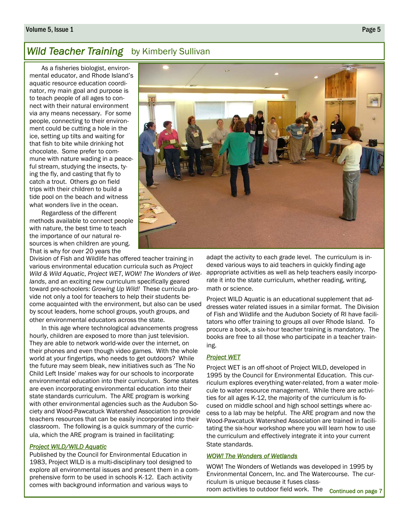#### Volume 5, Issue 1 Page 5

## **Wild Teacher Training** by Kimberly Sullivan

As a fisheries biologist, environmental educator, and Rhode Island's aquatic resource education coordinator, my main goal and purpose is to teach people of all ages to connect with their natural environment via any means necessary. For some people, connecting to their environment could be cutting a hole in the ice, setting up tilts and waiting for that fish to bite while drinking hot chocolate. Some prefer to commune with nature wading in a peaceful stream, studying the insects, tying the fly, and casting that fly to catch a trout. Others go on field trips with their children to build a tide pool on the beach and witness what wonders live in the ocean.

Regardless of the different methods available to connect people with nature, the best time to teach the importance of our natural resources is when children are young. That is why for over 20 years the

Division of Fish and Wildlife has offered teacher training in various environmental education curricula such as *Project Wild & Wild Aquatic*, *Project WET*, *WOW! The Wonders of Wetlands*, and an exciting new curriculum specifically geared toward pre-schoolers: *Growing Up Wild!* These curricula provide not only a tool for teachers to help their students become acquainted with the environment, but also can be used by scout leaders, home school groups, youth groups, and other environmental educators across the state.

In this age where technological advancements progress hourly, children are exposed to more than just television. They are able to network world-wide over the internet, on their phones and even though video games. With the whole world at your fingertips, who needs to get outdoors? While the future may seem bleak, new initiatives such as 'The No Child Left Inside' makes way for our schools to incorporate environmental education into their curriculum. Some states are even incorporating environmental education into their state standards curriculum. The ARE program is working with other environmental agencies such as the Audubon Society and Wood-Pawcatuck Watershed Association to provide teachers resources that can be easily incorporated into their classroom. The following is a quick summary of the curricula, which the ARE program is trained in facilitating:

#### *Project WILD/WILD Aquatic*

Published by the Council for Environmental Education in 1983, Project WILD is a multi-disciplinary tool designed to explore all environmental issues and present them in a comprehensive form to be used in schools K-12. Each activity comes with background information and various ways to



adapt the activity to each grade level. The curriculum is indexed various ways to aid teachers in quickly finding age appropriate activities as well as help teachers easily incorporate it into the state curriculum, whether reading, writing, math or science.

Project WILD Aquatic is an educational supplement that addresses water related issues in a similar format. The Division of Fish and Wildlife and the Audubon Society of RI have facilitators who offer training to groups all over Rhode Island. To procure a book, a six-hour teacher training is mandatory. The books are free to all those who participate in a teacher training.

#### *Project WET*

Project WET is an off-shoot of Project WILD, developed in 1995 by the Council for Environmental Education. This curriculum explores everything water-related, from a water molecule to water resource management. While there are activities for all ages K-12, the majority of the curriculum is focused on middle school and high school settings where access to a lab may be helpful. The ARE program and now the Wood-Pawcatuck Watershed Association are trained in facilitating the six-hour workshop where you will learn how to use the curriculum and effectively integrate it into your current State standards.

## *WOW! The Wonders of Wetlands*

WOW! The Wonders of Wetlands was developed in 1995 by Environmental Concern, Inc. and The Watercourse. The curriculum is unique because it fuses classroom activities to outdoor field work. The continued on page 7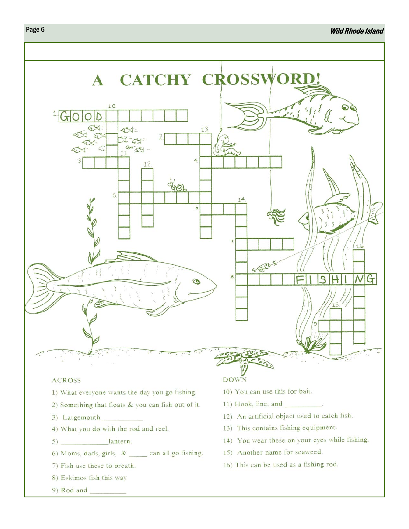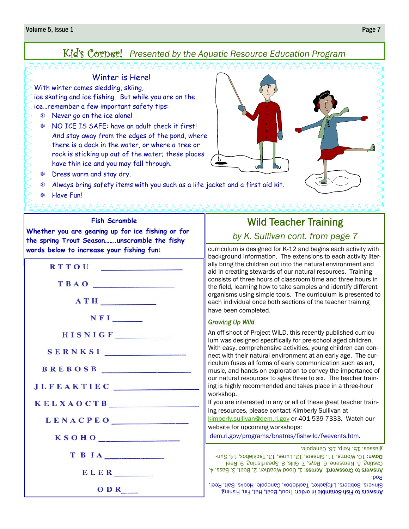